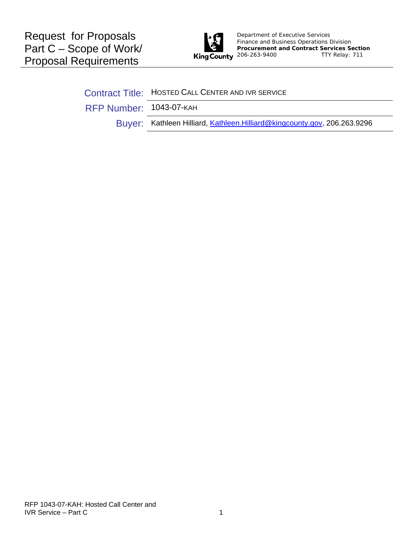

Department of Executive Services Finance and Business Operations Division **Procurement and Contract Services Section**<br>**King County** 206-263-9400 TTY Relay: 711 TTY Relay: 711

Contract Title: HOSTED CALL CENTER AND IVR SERVICE

RFP Number: 1043-07-KAH

Buyer: Kathleen Hilliard, [Kathleen.Hilliard@kingcounty.gov](mailto:Kathleen.Hilliard@kingcounty.gov), 206.263.9296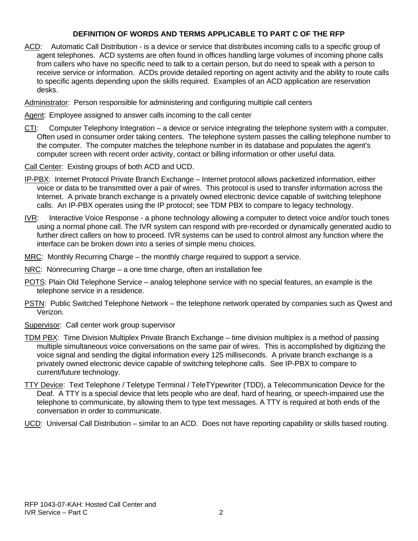### **DEFINITION OF WORDS AND TERMS APPLICABLE TO PART C OF THE RFP**

ACD: Automatic Call Distribution - is a [device](http://en.wikipedia.org/wiki/Information_appliance) or service that distributes incoming calls to a specific group of agent telephones. ACD systems are often found in offices handling large volumes of incoming [phone calls](http://en.wikipedia.org/wiki/Phone_call) from callers who have no specific need to talk to a certain person, but do need to speak with a person to receive service or information. ACDs provide detailed reporting on agent activity and the ability to route calls to specific agents depending upon the skills required. Examples of an ACD application are reservation desks.

Administrator: Person responsible for administering and configuring multiple call centers

Agent: Employee assigned to answer calls incoming to the call center

- CTI: Computer Telephony Integration a device or service integrating the telephone system with a computer. Often used in consumer order taking centers. The telephone system passes the calling telephone number to the computer. The computer matches the telephone number in its database and populates the agent's computer screen with recent order activity, contact or billing information or other useful data.
- Call Center: Existing groups of both ACD and UCD.
- IP-PBX: Internet Protocol Private Branch Exchange Internet protocol allows packetized information, either voice or data to be transmitted over a pair of wires. This protocol is used to transfer information across the Internet. A private branch exchange is a privately owned electronic device capable of switching telephone calls. An IP-PBX operates using the IP protocol; see TDM PBX to compare to legacy technology.
- IVR: Interactive Voice Response a phone technology allowing a computer to detect voice and/or touch tones using a normal phone call. The IVR system can respond with pre-recorded or dynamically generated audio to further direct callers on how to proceed. IVR systems can be used to control almost any function where the interface can be broken down into a series of simple menu choices.
- MRC: Monthly Recurring Charge the monthly charge required to support a service.
- NRC: Nonrecurring Charge a one time charge, often an installation fee
- POTS: Plain Old Telephone Service analog telephone service with no special features, an example is the telephone service in a residence.
- PSTN: Public Switched Telephone Network the telephone network operated by companies such as Qwest and Verizon.
- Supervisor: Call center work group supervisor
- TDM PBX: Time Division Multiplex Private Branch Exchange time division multiplex is a method of passing multiple simultaneous voice conversations on the same pair of wires. This is accomplished by digitizing the voice signal and sending the digital information every 125 milliseconds. A private branch exchange is a privately owned electronic device capable of switching telephone calls. See IP-PBX to compare to current/future technology.
- TTY Device: Text Telephone / Teletype Terminal / TeleTYpewriter (TDD), a Telecommunication Device for the Deaf. A TTY is a special device that lets people who are deaf, hard of hearing, or speech-impaired use the telephone to communicate, by allowing them to type text messages. A TTY is required at both ends of the conversation in order to communicate.

UCD: Universal Call Distribution – similar to an ACD. Does not have reporting capability or skills based routing.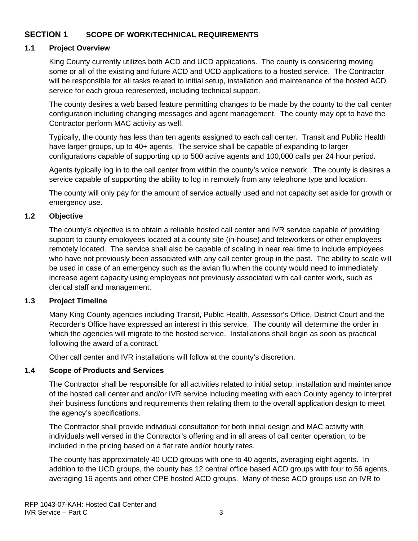### **SECTION 1 SCOPE OF WORK/TECHNICAL REQUIREMENTS**

#### **1.1 Project Overview**

King County currently utilizes both ACD and UCD applications. The county is considering moving some or all of the existing and future ACD and UCD applications to a hosted service. The Contractor will be responsible for all tasks related to initial setup, installation and maintenance of the hosted ACD service for each group represented, including technical support.

The county desires a web based feature permitting changes to be made by the county to the call center configuration including changing messages and agent management. The county may opt to have the Contractor perform MAC activity as well.

Typically, the county has less than ten agents assigned to each call center. Transit and Public Health have larger groups, up to 40+ agents. The service shall be capable of expanding to larger configurations capable of supporting up to 500 active agents and 100,000 calls per 24 hour period.

Agents typically log in to the call center from within the county's voice network. The county is desires a service capable of supporting the ability to log in remotely from any telephone type and location.

The county will only pay for the amount of service actually used and not capacity set aside for growth or emergency use.

### **1.2 Objective**

The county's objective is to obtain a reliable hosted call center and IVR service capable of providing support to county employees located at a county site (in-house) and teleworkers or other employees remotely located. The service shall also be capable of scaling in near real time to include employees who have not previously been associated with any call center group in the past. The ability to scale will be used in case of an emergency such as the avian flu when the county would need to immediately increase agent capacity using employees not previously associated with call center work, such as clerical staff and management.

#### **1.3 Project Timeline**

Many King County agencies including Transit, Public Health, Assessor's Office, District Court and the Recorder's Office have expressed an interest in this service. The county will determine the order in which the agencies will migrate to the hosted service. Installations shall begin as soon as practical following the award of a contract.

Other call center and IVR installations will follow at the county's discretion.

#### **1.4 Scope of Products and Services**

The Contractor shall be responsible for all activities related to initial setup, installation and maintenance of the hosted call center and and/or IVR service including meeting with each County agency to interpret their business functions and requirements then relating them to the overall application design to meet the agency's specifications.

The Contractor shall provide individual consultation for both initial design and MAC activity with individuals well versed in the Contractor's offering and in all areas of call center operation, to be included in the pricing based on a flat rate and/or hourly rates.

The county has approximately 40 UCD groups with one to 40 agents, averaging eight agents. In addition to the UCD groups, the county has 12 central office based ACD groups with four to 56 agents, averaging 16 agents and other CPE hosted ACD groups. Many of these ACD groups use an IVR to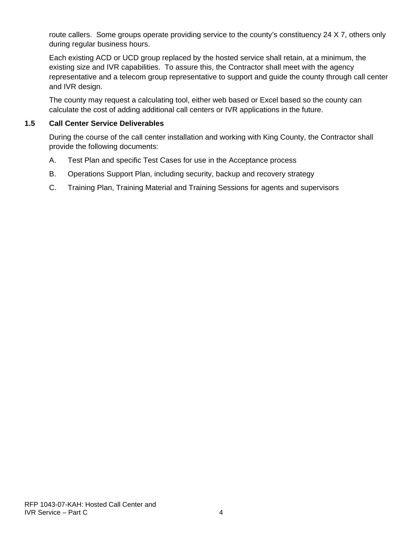route callers. Some groups operate providing service to the county's constituency 24 X 7, others only during regular business hours.

Each existing ACD or UCD group replaced by the hosted service shall retain, at a minimum, the existing size and IVR capabilities. To assure this, the Contractor shall meet with the agency representative and a telecom group representative to support and guide the county through call center and IVR design.

The county may request a calculating tool, either web based or Excel based so the county can calculate the cost of adding additional call centers or IVR applications in the future.

### **1.5 Call Center Service Deliverables**

During the course of the call center installation and working with King County, the Contractor shall provide the following documents:

- A. Test Plan and specific Test Cases for use in the Acceptance process
- B. Operations Support Plan, including security, backup and recovery strategy
- C. Training Plan, Training Material and Training Sessions for agents and supervisors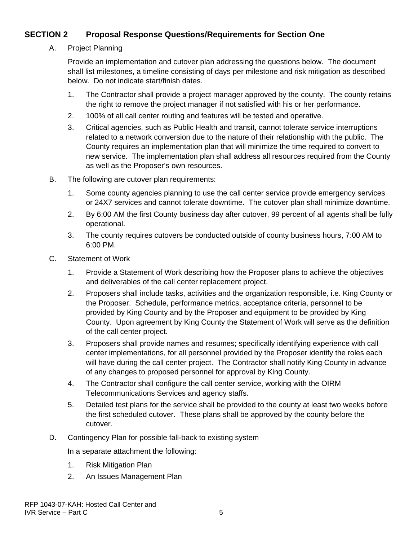## **SECTION 2 Proposal Response Questions/Requirements for Section One**

A. Project Planning

Provide an implementation and cutover plan addressing the questions below. The document shall list milestones, a timeline consisting of days per milestone and risk mitigation as described below. Do not indicate start/finish dates.

- 1. The Contractor shall provide a project manager approved by the county. The county retains the right to remove the project manager if not satisfied with his or her performance.
- 2. 100% of all call center routing and features will be tested and operative.
- 3. Critical agencies, such as Public Health and transit, cannot tolerate service interruptions related to a network conversion due to the nature of their relationship with the public. The County requires an implementation plan that will minimize the time required to convert to new service. The implementation plan shall address all resources required from the County as well as the Proposer's own resources.
- B. The following are cutover plan requirements:
	- 1. Some county agencies planning to use the call center service provide emergency services or 24X7 services and cannot tolerate downtime. The cutover plan shall minimize downtime.
	- 2. By 6:00 AM the first County business day after cutover, 99 percent of all agents shall be fully operational.
	- 3. The county requires cutovers be conducted outside of county business hours, 7:00 AM to 6:00 PM.
- C. Statement of Work
	- 1. Provide a Statement of Work describing how the Proposer plans to achieve the objectives and deliverables of the call center replacement project.
	- 2. Proposers shall include tasks, activities and the organization responsible, i.e. King County or the Proposer. Schedule, performance metrics, acceptance criteria, personnel to be provided by King County and by the Proposer and equipment to be provided by King County. Upon agreement by King County the Statement of Work will serve as the definition of the call center project.
	- 3. Proposers shall provide names and resumes; specifically identifying experience with call center implementations, for all personnel provided by the Proposer identify the roles each will have during the call center project. The Contractor shall notify King County in advance of any changes to proposed personnel for approval by King County.
	- 4. The Contractor shall configure the call center service, working with the OIRM Telecommunications Services and agency staffs.
	- 5. Detailed test plans for the service shall be provided to the county at least two weeks before the first scheduled cutover. These plans shall be approved by the county before the cutover.
- D. Contingency Plan for possible fall-back to existing system

In a separate attachment the following:

- 1. Risk Mitigation Plan
- 2. An Issues Management Plan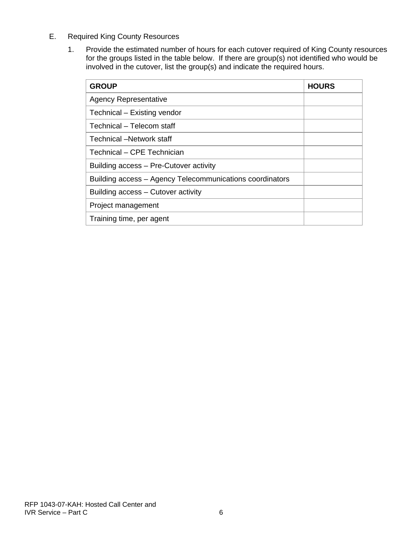- E. Required King County Resources
	- 1. Provide the estimated number of hours for each cutover required of King County resources for the groups listed in the table below. If there are group(s) not identified who would be involved in the cutover, list the group(s) and indicate the required hours.

| <b>GROUP</b>                                             | <b>HOURS</b> |
|----------------------------------------------------------|--------------|
| <b>Agency Representative</b>                             |              |
| Technical – Existing vendor                              |              |
| Technical – Telecom staff                                |              |
| Technical –Network staff                                 |              |
| Technical – CPE Technician                               |              |
| Building access – Pre-Cutover activity                   |              |
| Building access - Agency Telecommunications coordinators |              |
| Building access – Cutover activity                       |              |
| Project management                                       |              |
| Training time, per agent                                 |              |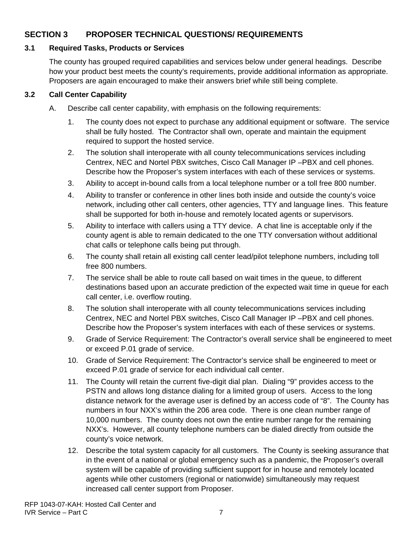## **SECTION 3 PROPOSER TECHNICAL QUESTIONS/ REQUIREMENTS**

### **3.1 Required Tasks, Products or Services**

The county has grouped required capabilities and services below under general headings. Describe how your product best meets the county's requirements, provide additional information as appropriate. Proposers are again encouraged to make their answers brief while still being complete.

### **3.2 Call Center Capability**

- A. Describe call center capability, with emphasis on the following requirements:
	- 1. The county does not expect to purchase any additional equipment or software. The service shall be fully hosted. The Contractor shall own, operate and maintain the equipment required to support the hosted service.
	- 2. The solution shall interoperate with all county telecommunications services including Centrex, NEC and Nortel PBX switches, Cisco Call Manager IP –PBX and cell phones. Describe how the Proposer's system interfaces with each of these services or systems.
	- 3. Ability to accept in-bound calls from a local telephone number or a toll free 800 number.
	- 4. Ability to transfer or conference in other lines both inside and outside the county's voice network, including other call centers, other agencies, TTY and language lines. This feature shall be supported for both in-house and remotely located agents or supervisors.
	- 5. Ability to interface with callers using a TTY device. A chat line is acceptable only if the county agent is able to remain dedicated to the one TTY conversation without additional chat calls or telephone calls being put through.
	- 6. The county shall retain all existing call center lead/pilot telephone numbers, including toll free 800 numbers.
	- 7. The service shall be able to route call based on wait times in the queue, to different destinations based upon an accurate prediction of the expected wait time in queue for each call center, i.e. overflow routing.
	- 8. The solution shall interoperate with all county telecommunications services including Centrex, NEC and Nortel PBX switches, Cisco Call Manager IP –PBX and cell phones. Describe how the Proposer's system interfaces with each of these services or systems.
	- 9. Grade of Service Requirement: The Contractor's overall service shall be engineered to meet or exceed P.01 grade of service.
	- 10. Grade of Service Requirement: The Contractor's service shall be engineered to meet or exceed P.01 grade of service for each individual call center.
	- 11. The County will retain the current five-digit dial plan. Dialing "9" provides access to the PSTN and allows long distance dialing for a limited group of users. Access to the long distance network for the average user is defined by an access code of "8". The County has numbers in four NXX's within the 206 area code. There is one clean number range of 10,000 numbers. The county does not own the entire number range for the remaining NXX's. However, all county telephone numbers can be dialed directly from outside the county's voice network.
	- 12. Describe the total system capacity for all customers. The County is seeking assurance that in the event of a national or global emergency such as a pandemic, the Proposer's overall system will be capable of providing sufficient support for in house and remotely located agents while other customers (regional or nationwide) simultaneously may request increased call center support from Proposer.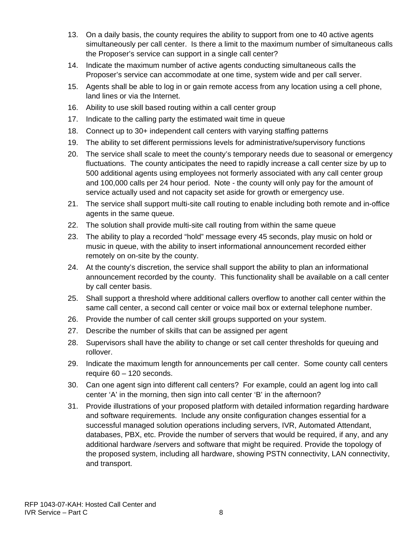- 13. On a daily basis, the county requires the ability to support from one to 40 active agents simultaneously per call center. Is there a limit to the maximum number of simultaneous calls the Proposer's service can support in a single call center?
- 14. Indicate the maximum number of active agents conducting simultaneous calls the Proposer's service can accommodate at one time, system wide and per call server.
- 15. Agents shall be able to log in or gain remote access from any location using a cell phone, land lines or via the Internet.
- 16. Ability to use skill based routing within a call center group
- 17. Indicate to the calling party the estimated wait time in queue
- 18. Connect up to 30+ independent call centers with varying staffing patterns
- 19. The ability to set different permissions levels for administrative/supervisory functions
- 20. The service shall scale to meet the county's temporary needs due to seasonal or emergency fluctuations. The county anticipates the need to rapidly increase a call center size by up to 500 additional agents using employees not formerly associated with any call center group and 100,000 calls per 24 hour period. Note - the county will only pay for the amount of service actually used and not capacity set aside for growth or emergency use.
- 21. The service shall support multi-site call routing to enable including both remote and in-office agents in the same queue.
- 22. The solution shall provide multi-site call routing from within the same queue
- 23. The ability to play a recorded "hold" message every 45 seconds, play music on hold or music in queue, with the ability to insert informational announcement recorded either remotely on on-site by the county.
- 24. At the county's discretion, the service shall support the ability to plan an informational announcement recorded by the county. This functionality shall be available on a call center by call center basis.
- 25. Shall support a threshold where additional callers overflow to another call center within the same call center, a second call center or voice mail box or external telephone number.
- 26. Provide the number of call center skill groups supported on your system.
- 27. Describe the number of skills that can be assigned per agent
- 28. Supervisors shall have the ability to change or set call center thresholds for queuing and rollover.
- 29. Indicate the maximum length for announcements per call center. Some county call centers require 60 – 120 seconds.
- 30. Can one agent sign into different call centers? For example, could an agent log into call center 'A' in the morning, then sign into call center 'B' in the afternoon?
- 31. Provide illustrations of your proposed platform with detailed information regarding hardware and software requirements. Include any onsite configuration changes essential for a successful managed solution operations including servers, IVR, Automated Attendant, databases, PBX, etc. Provide the number of servers that would be required, if any, and any additional hardware /servers and software that might be required. Provide the topology of the proposed system, including all hardware, showing PSTN connectivity, LAN connectivity, and transport.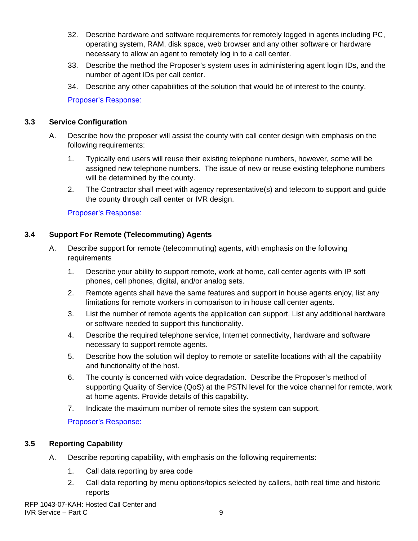- 32. Describe hardware and software requirements for remotely logged in agents including PC, operating system, RAM, disk space, web browser and any other software or hardware necessary to allow an agent to remotely log in to a call center.
- 33. Describe the method the Proposer's system uses in administering agent login IDs, and the number of agent IDs per call center.
- 34. Describe any other capabilities of the solution that would be of interest to the county.

### **3.3 Service Configuration**

- A. Describe how the proposer will assist the county with call center design with emphasis on the following requirements:
	- 1. Typically end users will reuse their existing telephone numbers, however, some will be assigned new telephone numbers. The issue of new or reuse existing telephone numbers will be determined by the county.
	- 2. The Contractor shall meet with agency representative(s) and telecom to support and guide the county through call center or IVR design.

Proposer's Response:

## **3.4 Support For Remote (Telecommuting) Agents**

- A. Describe support for remote (telecommuting) agents, with emphasis on the following requirements
	- 1. Describe your ability to support remote, work at home, call center agents with IP soft phones, cell phones, digital, and/or analog sets.
	- 2. Remote agents shall have the same features and support in house agents enjoy, list any limitations for remote workers in comparison to in house call center agents.
	- 3. List the number of remote agents the application can support. List any additional hardware or software needed to support this functionality.
	- 4. Describe the required telephone service, Internet connectivity, hardware and software necessary to support remote agents.
	- 5. Describe how the solution will deploy to remote or satellite locations with all the capability and functionality of the host.
	- 6. The county is concerned with voice degradation. Describe the Proposer's method of supporting Quality of Service (QoS) at the PSTN level for the voice channel for remote, work at home agents. Provide details of this capability.
	- 7. Indicate the maximum number of remote sites the system can support.

# Proposer's Response:

# **3.5 Reporting Capability**

- A. Describe reporting capability, with emphasis on the following requirements:
	- 1. Call data reporting by area code
	- 2. Call data reporting by menu options/topics selected by callers, both real time and historic reports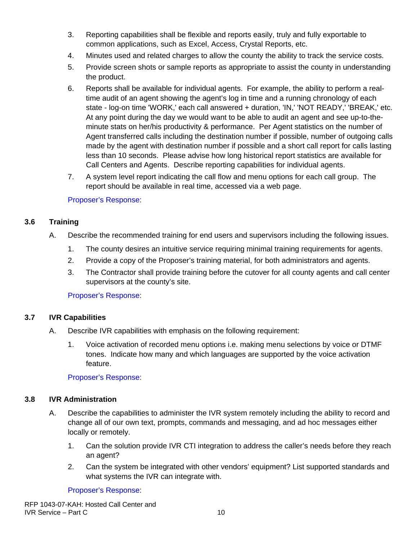- 3. Reporting capabilities shall be flexible and reports easily, truly and fully exportable to common applications, such as Excel, Access, Crystal Reports, etc.
- 4. Minutes used and related charges to allow the county the ability to track the service costs.
- 5. Provide screen shots or sample reports as appropriate to assist the county in understanding the product.
- 6. Reports shall be available for individual agents. For example, the ability to perform a realtime audit of an agent showing the agent's log in time and a running chronology of each state - log-on time 'WORK,' each call answered + duration, 'IN,' 'NOT READY,' 'BREAK,' etc. At any point during the day we would want to be able to audit an agent and see up-to-theminute stats on her/his productivity & performance. Per Agent statistics on the number of Agent transferred calls including the destination number if possible, number of outgoing calls made by the agent with destination number if possible and a short call report for calls lasting less than 10 seconds. Please advise how long historical report statistics are available for Call Centers and Agents. Describe reporting capabilities for individual agents.
- 7. A system level report indicating the call flow and menu options for each call group. The report should be available in real time, accessed via a web page.

### **3.6 Training**

- A. Describe the recommended training for end users and supervisors including the following issues.
	- 1. The county desires an intuitive service requiring minimal training requirements for agents.
	- 2. Provide a copy of the Proposer's training material, for both administrators and agents.
	- 3. The Contractor shall provide training before the cutover for all county agents and call center supervisors at the county's site.

#### Proposer's Response:

#### **3.7 IVR Capabilities**

- A. Describe IVR capabilities with emphasis on the following requirement:
	- 1. Voice activation of recorded menu options i.e. making menu selections by voice or DTMF tones. Indicate how many and which languages are supported by the voice activation feature.

#### Proposer's Response:

### **3.8 IVR Administration**

- A. Describe the capabilities to administer the IVR system remotely including the ability to record and change all of our own text, prompts, commands and messaging, and ad hoc messages either locally or remotely.
	- 1. Can the solution provide IVR CTI integration to address the caller's needs before they reach an agent?
	- 2. Can the system be integrated with other vendors' equipment? List supported standards and what systems the IVR can integrate with.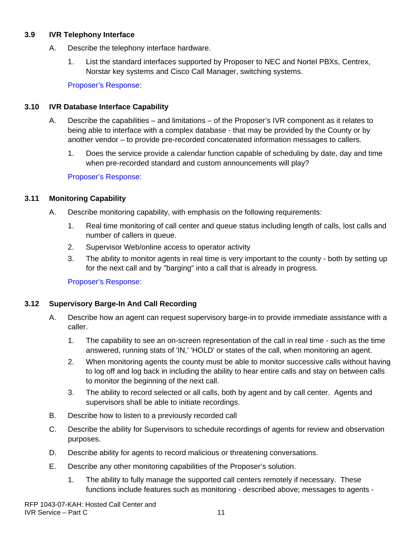#### **3.9 IVR Telephony Interface**

- A. Describe the telephony interface hardware.
	- 1. List the standard interfaces supported by Proposer to NEC and Nortel PBXs, Centrex, Norstar key systems and Cisco Call Manager, switching systems.

Proposer's Response:

### **3.10 IVR Database Interface Capability**

- A. Describe the capabilities and limitations of the Proposer's IVR component as it relates to being able to interface with a complex database - that may be provided by the County or by another vendor – to provide pre-recorded concatenated information messages to callers.
	- 1. Does the service provide a calendar function capable of scheduling by date, day and time when pre-recorded standard and custom announcements will play?

## Proposer's Response:

## **3.11 Monitoring Capability**

- A. Describe monitoring capability, with emphasis on the following requirements:
	- 1. Real time monitoring of call center and queue status including length of calls, lost calls and number of callers in queue.
	- 2. Supervisor Web/online access to operator activity
	- 3. The ability to monitor agents in real time is very important to the county both by setting up for the next call and by "barging" into a call that is already in progress.

Proposer's Response:

### **3.12 Supervisory Barge-In And Call Recording**

- A. Describe how an agent can request supervisory barge-in to provide immediate assistance with a caller.
	- 1. The capability to see an on-screen representation of the call in real time such as the time answered, running stats of 'IN,' 'HOLD' or states of the call, when monitoring an agent.
	- 2. When monitoring agents the county must be able to monitor successive calls without having to log off and log back in including the ability to hear entire calls and stay on between calls to monitor the beginning of the next call.
	- 3. The ability to record selected or all calls, both by agent and by call center. Agents and supervisors shall be able to initiate recordings.
- B. Describe how to listen to a previously recorded call
- C. Describe the ability for Supervisors to schedule recordings of agents for review and observation purposes.
- D. Describe ability for agents to record malicious or threatening conversations.
- E. Describe any other monitoring capabilities of the Proposer's solution.
	- 1. The ability to fully manage the supported call centers remotely if necessary. These functions include features such as monitoring - described above; messages to agents -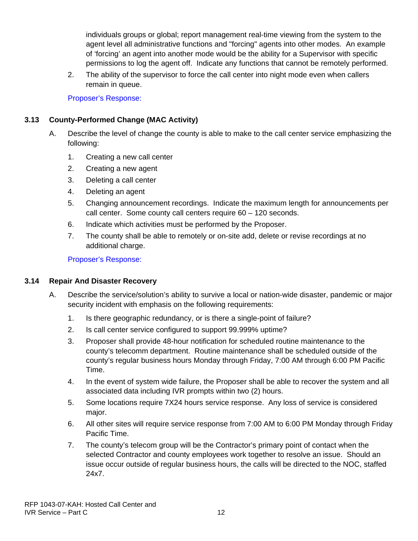individuals groups or global; report management real-time viewing from the system to the agent level all administrative functions and "forcing" agents into other modes. An example of 'forcing' an agent into another mode would be the ability for a Supervisor with specific permissions to log the agent off. Indicate any functions that cannot be remotely performed.

2. The ability of the supervisor to force the call center into night mode even when callers remain in queue.

Proposer's Response:

### **3.13 County-Performed Change (MAC Activity)**

- A. Describe the level of change the county is able to make to the call center service emphasizing the following:
	- 1. Creating a new call center
	- 2. Creating a new agent
	- 3. Deleting a call center
	- 4. Deleting an agent
	- 5. Changing announcement recordings. Indicate the maximum length for announcements per call center. Some county call centers require 60 – 120 seconds.
	- 6. Indicate which activities must be performed by the Proposer.
	- 7. The county shall be able to remotely or on-site add, delete or revise recordings at no additional charge.

Proposer's Response:

### **3.14 Repair And Disaster Recovery**

- A. Describe the service/solution's ability to survive a local or nation-wide disaster, pandemic or major security incident with emphasis on the following requirements:
	- 1. Is there geographic redundancy, or is there a single-point of failure?
	- 2. Is call center service configured to support 99.999% uptime?
	- 3. Proposer shall provide 48-hour notification for scheduled routine maintenance to the county's telecomm department. Routine maintenance shall be scheduled outside of the county's regular business hours Monday through Friday, 7:00 AM through 6:00 PM Pacific Time.
	- 4. In the event of system wide failure, the Proposer shall be able to recover the system and all associated data including IVR prompts within two (2) hours.
	- 5. Some locations require 7X24 hours service response. Any loss of service is considered major.
	- 6. All other sites will require service response from 7:00 AM to 6:00 PM Monday through Friday Pacific Time.
	- 7. The county's telecom group will be the Contractor's primary point of contact when the selected Contractor and county employees work together to resolve an issue. Should an issue occur outside of regular business hours, the calls will be directed to the NOC, staffed 24x7.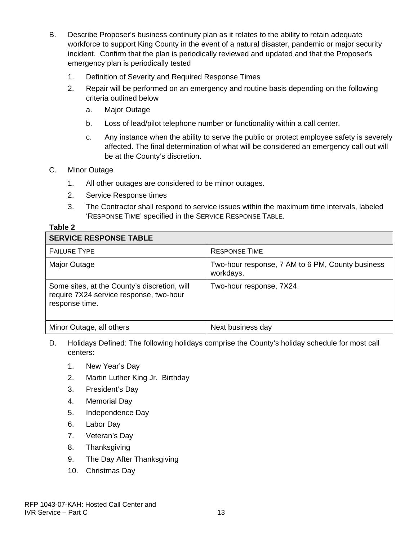- B. Describe Proposer's business continuity plan as it relates to the ability to retain adequate workforce to support King County in the event of a natural disaster, pandemic or major security incident. Confirm that the plan is periodically reviewed and updated and that the Proposer's emergency plan is periodically tested
	- 1. Definition of Severity and Required Response Times
	- 2. Repair will be performed on an emergency and routine basis depending on the following criteria outlined below
		- a. Major Outage
		- b. Loss of lead/pilot telephone number or functionality within a call center.
		- c. Any instance when the ability to serve the public or protect employee safety is severely affected. The final determination of what will be considered an emergency call out will be at the County's discretion.

#### C. Minor Outage

- 1. All other outages are considered to be minor outages.
- 2. Service Response times
- 3. The Contractor shall respond to service issues within the maximum time intervals, labeled 'RESPONSE TIME' specified in the SERVICE RESPONSE TABLE.

#### **Table 2**

| <b>SERVICE RESPONSE TABLE</b>                                                                             |                                                               |
|-----------------------------------------------------------------------------------------------------------|---------------------------------------------------------------|
| <b>FAILURE TYPE</b>                                                                                       | <b>RESPONSE TIME</b>                                          |
| Major Outage                                                                                              | Two-hour response, 7 AM to 6 PM, County business<br>workdays. |
| Some sites, at the County's discretion, will<br>require 7X24 service response, two-hour<br>response time. | Two-hour response, 7X24.                                      |
| Minor Outage, all others                                                                                  | Next business day                                             |

- D. Holidays Defined: The following holidays comprise the County's holiday schedule for most call centers:
	- 1. New Year's Day
	- 2. Martin Luther King Jr. Birthday
	- 3. President's Day
	- 4. Memorial Day
	- 5. Independence Day
	- 6. Labor Day
	- 7. Veteran's Day
	- 8. Thanksgiving
	- 9. The Day After Thanksgiving
	- 10. Christmas Day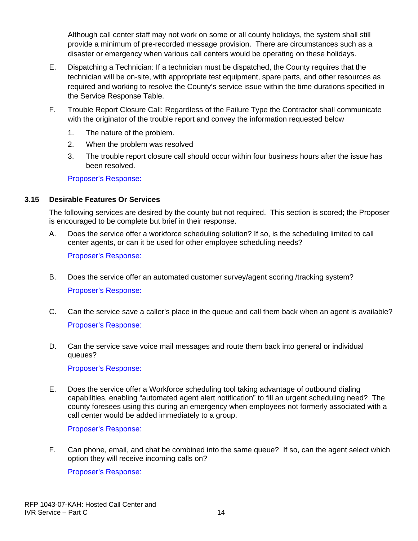Although call center staff may not work on some or all county holidays, the system shall still provide a minimum of pre-recorded message provision. There are circumstances such as a disaster or emergency when various call centers would be operating on these holidays.

- E. Dispatching a Technician: If a technician must be dispatched, the County requires that the technician will be on-site, with appropriate test equipment, spare parts, and other resources as required and working to resolve the County's service issue within the time durations specified in the Service Response Table.
- F. Trouble Report Closure Call: Regardless of the Failure Type the Contractor shall communicate with the originator of the trouble report and convey the information requested below
	- 1. The nature of the problem.
	- 2. When the problem was resolved
	- 3. The trouble report closure call should occur within four business hours after the issue has been resolved.

Proposer's Response:

#### **3.15 Desirable Features Or Services**

The following services are desired by the county but not required. This section is scored; the Proposer is encouraged to be complete but brief in their response.

A. Does the service offer a workforce scheduling solution? If so, is the scheduling limited to call center agents, or can it be used for other employee scheduling needs?

Proposer's Response:

- B. Does the service offer an automated customer survey/agent scoring /tracking system? Proposer's Response:
- C. Can the service save a caller's place in the queue and call them back when an agent is available? Proposer's Response:
- D. Can the service save voice mail messages and route them back into general or individual queues?

Proposer's Response:

E. Does the service offer a Workforce scheduling tool taking advantage of outbound dialing capabilities, enabling "automated agent alert notification" to fill an urgent scheduling need? The county foresees using this during an emergency when employees not formerly associated with a call center would be added immediately to a group.

Proposer's Response:

F. Can phone, email, and chat be combined into the same queue? If so, can the agent select which option they will receive incoming calls on?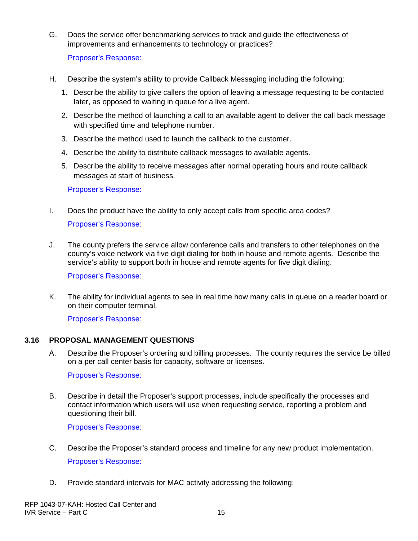G. Does the service offer benchmarking services to track and guide the effectiveness of improvements and enhancements to technology or practices?

Proposer's Response:

- H. Describe the system's ability to provide Callback Messaging including the following:
	- 1. Describe the ability to give callers the option of leaving a message requesting to be contacted later, as opposed to waiting in queue for a live agent.
	- 2. Describe the method of launching a call to an available agent to deliver the call back message with specified time and telephone number.
	- 3. Describe the method used to launch the callback to the customer.
	- 4. Describe the ability to distribute callback messages to available agents.
	- 5. Describe the ability to receive messages after normal operating hours and route callback messages at start of business.

Proposer's Response:

- I. Does the product have the ability to only accept calls from specific area codes? Proposer's Response:
- J. The county prefers the service allow conference calls and transfers to other telephones on the county's voice network via five digit dialing for both in house and remote agents. Describe the service's ability to support both in house and remote agents for five digit dialing.

Proposer's Response:

K. The ability for individual agents to see in real time how many calls in queue on a reader board or on their computer terminal.

Proposer's Response:

#### **3.16 PROPOSAL MANAGEMENT QUESTIONS**

A. Describe the Proposer's ordering and billing processes. The county requires the service be billed on a per call center basis for capacity, software or licenses.

Proposer's Response:

B. Describe in detail the Proposer's support processes, include specifically the processes and contact information which users will use when requesting service, reporting a problem and questioning their bill.

- C. Describe the Proposer's standard process and timeline for any new product implementation. Proposer's Response:
- D. Provide standard intervals for MAC activity addressing the following;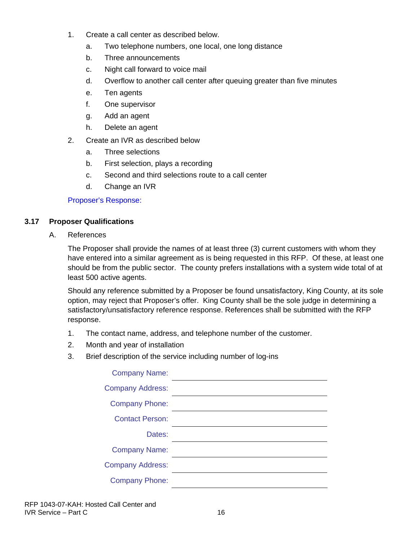- 1. Create a call center as described below.
	- a. Two telephone numbers, one local, one long distance
	- b. Three announcements
	- c. Night call forward to voice mail
	- d. Overflow to another call center after queuing greater than five minutes
	- e. Ten agents
	- f. One supervisor
	- g. Add an agent
	- h. Delete an agent
- 2. Create an IVR as described below
	- a. Three selections
	- b. First selection, plays a recording
	- c. Second and third selections route to a call center
	- d. Change an IVR

### **3.17 Proposer Qualifications**

A. References

The Proposer shall provide the names of at least three (3) current customers with whom they have entered into a similar agreement as is being requested in this RFP. Of these, at least one should be from the public sector. The county prefers installations with a system wide total of at least 500 active agents.

Should any reference submitted by a Proposer be found unsatisfactory, King County, at its sole option, may reject that Proposer's offer. King County shall be the sole judge in determining a satisfactory/unsatisfactory reference response. References shall be submitted with the RFP response.

- 1. The contact name, address, and telephone number of the customer.
- 2. Month and year of installation
- 3. Brief description of the service including number of log-ins

| <b>Company Name:</b>    |  |
|-------------------------|--|
| <b>Company Address:</b> |  |
| <b>Company Phone:</b>   |  |
| <b>Contact Person:</b>  |  |
| Dates:                  |  |
| <b>Company Name:</b>    |  |
| <b>Company Address:</b> |  |
| <b>Company Phone:</b>   |  |